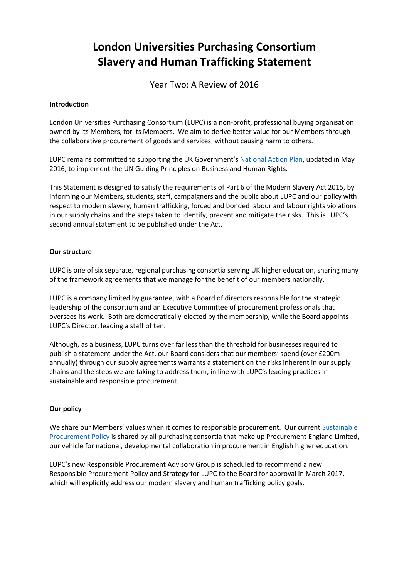# **London Universities Purchasing Consortium Slavery and Human Trafficking Statement**

Year Two: A Review of 2016

#### **Introduction**

London Universities Purchasing Consortium (LUPC) is a non-profit, professional buying organisation owned by its Members, for its Members. We aim to derive better value for our Members through the collaborative procurement of goods and services, without causing harm to others.

LUPC remains committed to supporting the UK Government's [National Action Plan,](https://www.gov.uk/government/uploads/system/uploads/attachment_data/file/522805/Good_Business_Implementing_the_UN_Guiding_Principles_on_Business_and_Human_Rights_updated_May_2016.pdf) updated in May 2016, to implement the UN Guiding Principles on Business and Human Rights.

This Statement is designed to satisfy the requirements of Part 6 of the Modern Slavery Act 2015, by informing our Members, students, staff, campaigners and the public about LUPC and our policy with respect to modern slavery, human trafficking, forced and bonded labour and labour rights violations in our supply chains and the steps taken to identify, prevent and mitigate the risks. This is LUPC's second annual statement to be published under the Act.

## **Our structure**

LUPC is one of six separate, regional purchasing consortia serving UK higher education, sharing many of the framework agreements that we manage for the benefit of our members nationally.

LUPC is a company limited by guarantee, with a Board of directors responsible for the strategic leadership of the consortium and an Executive Committee of procurement professionals that oversees its work. Both are democratically-elected by the membership, while the Board appoints LUPC's Director, leading a staff of ten.

Although, as a business, LUPC turns over far less than the threshold for businesses required to publish a statement under the Act, our Board considers that our members' spend (over £200m annually) through our supply agreements warrants a statement on the risks inherent in our supply chains and the steps we are taking to address them, in line with LUPC's leading practices in sustainable and responsible procurement.

# **Our policy**

We share our Members' values when it comes to responsible procurement. Our current Sustainable [Procurement Policy](http://static.uk-plc.net/library/london-universities-purchasing-consortium/documents/pel-sustainable-procurement-policy-final1.pdf) is shared by all purchasing consortia that make up Procurement England Limited, our vehicle for national, developmental collaboration in procurement in English higher education.

LUPC's new Responsible Procurement Advisory Group is scheduled to recommend a new Responsible Procurement Policy and Strategy for LUPC to the Board for approval in March 2017, which will explicitly address our modern slavery and human trafficking policy goals.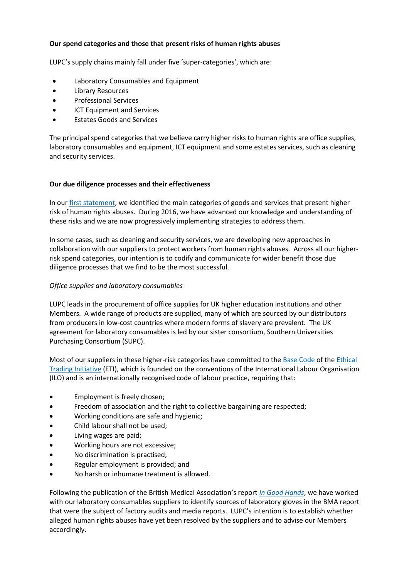## **Our spend categories and those that present risks of human rights abuses**

LUPC's supply chains mainly fall under five 'super-categories', which are:

- Laboratory Consumables and Equipment
- Library Resources
- Professional Services
- ICT Equipment and Services
- Estates Goods and Services

The principal spend categories that we believe carry higher risks to human rights are office supplies, laboratory consumables and equipment, ICT equipment and some estates services, such as cleaning and security services.

#### **Our due diligence processes and their effectiveness**

In our [first statement,](http://static.uk-plc.net/library/london-universities-purchasing-consortium/documents/lupc-slavery-and-human-trafficking-statement-2015-a.pdf) we identified the main categories of goods and services that present higher risk of human rights abuses. During 2016, we have advanced our knowledge and understanding of these risks and we are now progressively implementing strategies to address them.

In some cases, such as cleaning and security services, we are developing new approaches in collaboration with our suppliers to protect workers from human rights abuses. Across all our higherrisk spend categories, our intention is to codify and communicate for wider benefit those due diligence processes that we find to be the most successful.

#### *Office supplies and laboratory consumables*

LUPC leads in the procurement of office supplies for UK higher education institutions and other Members. A wide range of products are supplied, many of which are sourced by our distributors from producers in low-cost countries where modern forms of slavery are prevalent. The UK agreement for laboratory consumables is led by our sister consortium, Southern Universities Purchasing Consortium (SUPC).

Most of our suppliers in these higher-risk categories have committed to the [Base Code](http://www.ethicaltrade.org/sites/default/files/resources/ETI%20Base%20Code%2C%20English.pdf) of the [Ethical](http://www.ethicaltrade.org/)  [Trading Initiative](http://www.ethicaltrade.org/) (ETI), which is founded on the conventions of the International Labour Organisation (ILO) and is an internationally recognised code of labour practice, requiring that:

- Employment is freely chosen;
- Freedom of association and the right to collective bargaining are respected;
- Working conditions are safe and hygienic;
- Child labour shall not be used;
- Living wages are paid;
- Working hours are not excessive;
- No discrimination is practised;
- Regular employment is provided; and
- No harsh or inhumane treatment is allowed.

Following the publication of the British Medical Association's report *[In Good Hands](https://www.bma.org.uk/collective-voice/influence/international-work/fair-medical-trade/medical-gloves-report)*, we have worked with our laboratory consumables suppliers to identify sources of laboratory gloves in the BMA report that were the subject of factory audits and media reports. LUPC's intention is to establish whether alleged human rights abuses have yet been resolved by the suppliers and to advise our Members accordingly.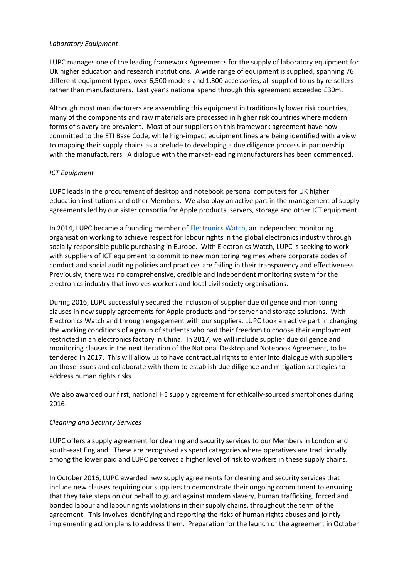## *Laboratory Equipment*

LUPC manages one of the leading framework Agreements for the supply of laboratory equipment for UK higher education and research institutions. A wide range of equipment is supplied, spanning 76 different equipment types, over 6,500 models and 1,300 accessories, all supplied to us by re-sellers rather than manufacturers. Last year's national spend through this agreement exceeded £30m.

Although most manufacturers are assembling this equipment in traditionally lower risk countries, many of the components and raw materials are processed in higher risk countries where modern forms of slavery are prevalent. Most of our suppliers on this framework agreement have now committed to the ETI Base Code, while high-impact equipment lines are being identified with a view to mapping their supply chains as a prelude to developing a due diligence process in partnership with the manufacturers. A dialogue with the market-leading manufacturers has been commenced.

# *ICT Equipment*

LUPC leads in the procurement of desktop and notebook personal computers for UK higher education institutions and other Members. We also play an active part in the management of supply agreements led by our sister consortia for Apple products, servers, storage and other ICT equipment.

In 2014, LUPC became a founding member of **Electronics Watch**, an independent monitoring organisation working to achieve respect for labour rights in the global electronics industry through socially responsible public purchasing in Europe. With Electronics Watch, LUPC is seeking to work with suppliers of ICT equipment to commit to new monitoring regimes where corporate codes of conduct and social auditing policies and practices are failing in their transparency and effectiveness. Previously, there was no comprehensive, credible and independent monitoring system for the electronics industry that involves workers and local civil society organisations.

During 2016, LUPC successfully secured the inclusion of supplier due diligence and monitoring clauses in new supply agreements for Apple products and for server and storage solutions. With Electronics Watch and through engagement with our suppliers, LUPC took an active part in changing the working conditions of a group of students who had their freedom to choose their employment restricted in an electronics factory in China. In 2017, we will include supplier due diligence and monitoring clauses in the next iteration of the National Desktop and Notebook Agreement, to be tendered in 2017. This will allow us to have contractual rights to enter into dialogue with suppliers on those issues and collaborate with them to establish due diligence and mitigation strategies to address human rights risks.

We also awarded our first, national HE supply agreement for ethically-sourced smartphones during 2016.

#### *Cleaning and Security Services*

LUPC offers a supply agreement for cleaning and security services to our Members in London and south-east England. These are recognised as spend categories where operatives are traditionally among the lower paid and LUPC perceives a higher level of risk to workers in these supply chains.

In October 2016, LUPC awarded new supply agreements for cleaning and security services that include new clauses requiring our suppliers to demonstrate their ongoing commitment to ensuring that they take steps on our behalf to guard against modern slavery, human trafficking, forced and bonded labour and labour rights violations in their supply chains, throughout the term of the agreement. This involves identifying and reporting the risks of human rights abuses and jointly implementing action plans to address them. Preparation for the launch of the agreement in October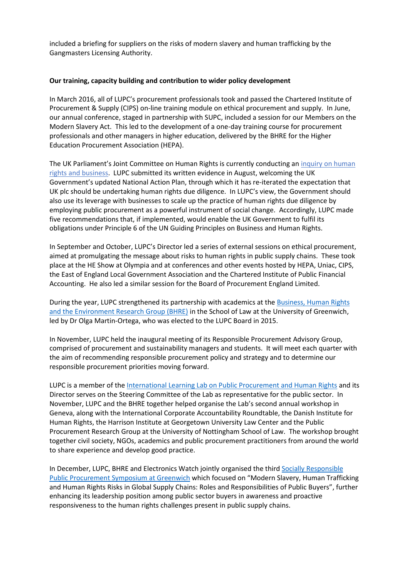included a briefing for suppliers on the risks of modern slavery and human trafficking by the Gangmasters Licensing Authority.

#### **Our training, capacity building and contribution to wider policy development**

In March 2016, all of LUPC's procurement professionals took and passed the Chartered Institute of Procurement & Supply (CIPS) on-line training module on ethical procurement and supply. In June, our annual conference, staged in partnership with SUPC, included a session for our Members on the Modern Slavery Act. This led to the development of a one-day training course for procurement professionals and other managers in higher education, delivered by the BHRE for the Higher Education Procurement Association (HEPA).

The UK Parliament's Joint Committee on Human Rights is currently conducting an [inquiry on human](http://www.parliament.uk/business/committees/committees-a-z/joint-select/human-rights-committee/inquiries/parliament-2015/inquiry/)  [rights and business.](http://www.parliament.uk/business/committees/committees-a-z/joint-select/human-rights-committee/inquiries/parliament-2015/inquiry/) LUPC submitted its written evidence in August, welcoming the UK Government's updated National Action Plan, through which it has re-iterated the expectation that UK plc should be undertaking human rights due diligence. In LUPC's view, the Government should also use its leverage with businesses to scale up the practice of human rights due diligence by employing public procurement as a powerful instrument of social change. Accordingly, LUPC made five recommendations that, if implemented, would enable the UK Government to fulfil its obligations under Principle 6 of the UN Guiding Principles on Business and Human Rights.

In September and October, LUPC's Director led a series of external sessions on ethical procurement, aimed at promulgating the message about risks to human rights in public supply chains. These took place at the HE Show at Olympia and at conferences and other events hosted by HEPA, Uniac, CIPS, the East of England Local Government Association and the Chartered Institute of Public Financial Accounting. He also led a similar session for the Board of Procurement England Limited.

During the year, LUPC strengthened its partnership with academics at the [Business, Human Rights](http://www.bhre.org/) [and the Environment Research Group \(BHRE\)](http://www.bhre.org/) in the School of Law at the University of Greenwich, led by Dr Olga Martin-Ortega, who was elected to the LUPC Board in 2015.

In November, LUPC held the inaugural meeting of its Responsible Procurement Advisory Group, comprised of procurement and sustainability managers and students. It will meet each quarter with the aim of recommending responsible procurement policy and strategy and to determine our responsible procurement priorities moving forward.

LUPC is a member of th[e International Learning Lab on Public Procurement and Human Rights](http://www.hrprocurementlab.org/) and its Director serves on the Steering Committee of the Lab as representative for the public sector. In November, LUPC and the BHRE together helped organise the Lab's second annual workshop in Geneva, along with the International Corporate Accountability Roundtable, the Danish Institute for Human Rights, the Harrison Institute at Georgetown University Law Center and the Public Procurement Research Group at the University of Nottingham School of Law. The workshop brought together civil society, NGOs, academics and public procurement practitioners from around the world to share experience and develop good practice.

In December, LUPC, BHRE and Electronics Watch jointly organised the third [Socially Responsible](http://www.bhre.org/upcoming-events/2016/6/15/modern-slavery-human-trafficking-and-human-rights-risks-in-the-global-supply-chain-roles-and-responsibilities-of-public-buyers)  [Public Procurement Symposium at Greenwich](http://www.bhre.org/upcoming-events/2016/6/15/modern-slavery-human-trafficking-and-human-rights-risks-in-the-global-supply-chain-roles-and-responsibilities-of-public-buyers) which focused on "Modern Slavery, Human Trafficking and Human Rights Risks in Global Supply Chains: Roles and Responsibilities of Public Buyers", further enhancing its leadership position among public sector buyers in awareness and proactive responsiveness to the human rights challenges present in public supply chains.